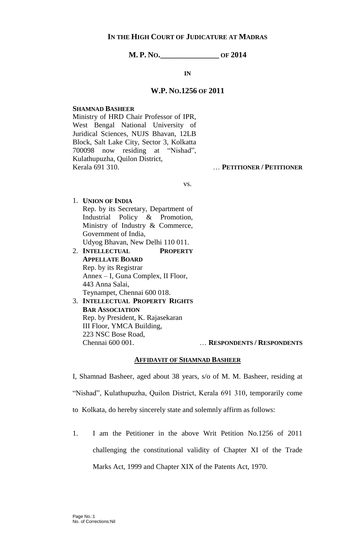# **IN THE HIGH COURT OF JUDICATURE AT MADRAS**

**M. P. NO.\_\_\_\_\_\_\_\_\_\_\_\_\_\_\_ OF 2014**

**IN**

## **W.P. NO.1256 OF 2011**

### **SHAMNAD BASHEER**

Ministry of HRD Chair Professor of IPR, West Bengal National University of Juridical Sciences, NUJS Bhavan, 12LB Block, Salt Lake City, Sector 3, Kolkatta 700098 now residing at "Nishad", Kulathupuzha, Quilon District, Kerala 691 310. … **PETITIONER / PETITIONER**

vs.

- 1. **UNION OF INDIA** Rep. by its Secretary, Department of Industrial Policy & Promotion, Ministry of Industry & Commerce, Government of India, Udyog Bhavan, New Delhi 110 011. 2. **INTELLECTUAL PROPERTY**
- **APPELLATE BOARD** Rep. by its Registrar Annex – I, Guna Complex, II Floor, 443 Anna Salai, Teynampet, Chennai 600 018.
- 3. **INTELLECTUAL PROPERTY RIGHTS BAR ASSOCIATION** Rep. by President, K. Rajasekaran III Floor, YMCA Building, 223 NSC Bose Road, Chennai 600 001. … **RESPONDENTS / RESPONDENTS**

## **AFFIDAVIT OF SHAMNAD BASHEER**

I, Shamnad Basheer, aged about 38 years, s/o of M. M. Basheer, residing at "Nishad", Kulathupuzha, Quilon District, Kerala 691 310, temporarily come to Kolkata, do hereby sincerely state and solemnly affirm as follows:

1. I am the Petitioner in the above Writ Petition No.1256 of 2011 challenging the constitutional validity of Chapter XI of the Trade Marks Act, 1999 and Chapter XIX of the Patents Act, 1970.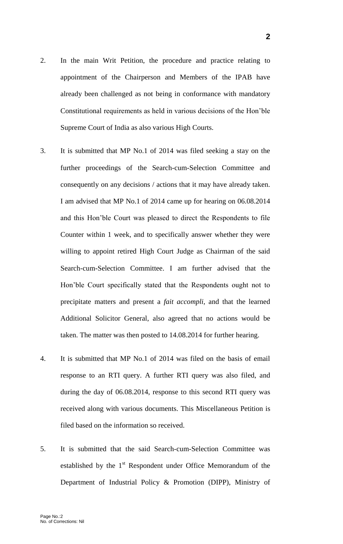- 2. In the main Writ Petition, the procedure and practice relating to appointment of the Chairperson and Members of the IPAB have already been challenged as not being in conformance with mandatory Constitutional requirements as held in various decisions of the Hon'ble Supreme Court of India as also various High Courts.
- 3. It is submitted that MP No.1 of 2014 was filed seeking a stay on the further proceedings of the Search-cum-Selection Committee and consequently on any decisions / actions that it may have already taken. I am advised that MP No.1 of 2014 came up for hearing on 06.08.2014 and this Hon'ble Court was pleased to direct the Respondents to file Counter within 1 week, and to specifically answer whether they were willing to appoint retired High Court Judge as Chairman of the said Search-cum-Selection Committee. I am further advised that the Hon'ble Court specifically stated that the Respondents ought not to precipitate matters and present a *fait accompli*, and that the learned Additional Solicitor General, also agreed that no actions would be taken. The matter was then posted to 14.08.2014 for further hearing.
- 4. It is submitted that MP No.1 of 2014 was filed on the basis of email response to an RTI query. A further RTI query was also filed, and during the day of 06.08.2014, response to this second RTI query was received along with various documents. This Miscellaneous Petition is filed based on the information so received.
- 5. It is submitted that the said Search-cum-Selection Committee was established by the  $1<sup>st</sup>$  Respondent under Office Memorandum of the Department of Industrial Policy & Promotion (DIPP), Ministry of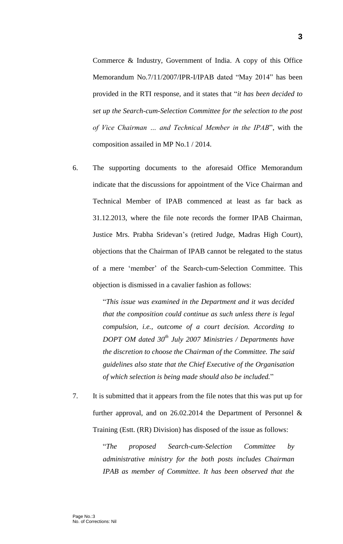Commerce & Industry, Government of India. A copy of this Office Memorandum No.7/11/2007/IPR-I/IPAB dated "May 2014" has been provided in the RTI response, and it states that "*it has been decided to set up the Search-cum-Selection Committee for the selection to the post of Vice Chairman … and Technical Member in the IPAB*", with the composition assailed in MP No.1 / 2014.

6. The supporting documents to the aforesaid Office Memorandum indicate that the discussions for appointment of the Vice Chairman and Technical Member of IPAB commenced at least as far back as 31.12.2013, where the file note records the former IPAB Chairman, Justice Mrs. Prabha Sridevan's (retired Judge, Madras High Court), objections that the Chairman of IPAB cannot be relegated to the status of a mere 'member' of the Search-cum-Selection Committee. This objection is dismissed in a cavalier fashion as follows:

> "*This issue was examined in the Department and it was decided that the composition could continue as such unless there is legal compulsion, i.e., outcome of a court decision. According to DOPT OM dated 30th July 2007 Ministries / Departments have the discretion to choose the Chairman of the Committee. The said guidelines also state that the Chief Executive of the Organisation of which selection is being made should also be included.*"

7. It is submitted that it appears from the file notes that this was put up for further approval, and on  $26.02.2014$  the Department of Personnel  $\&$ Training (Estt. (RR) Division) has disposed of the issue as follows:

> "*The proposed Search-cum-Selection Committee by administrative ministry for the both posts includes Chairman IPAB as member of Committee. It has been observed that the*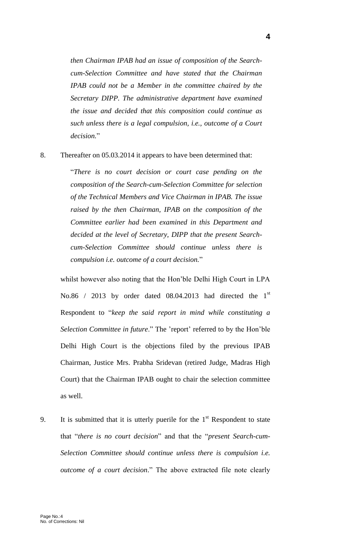*then Chairman IPAB had an issue of composition of the Searchcum-Selection Committee and have stated that the Chairman IPAB could not be a Member in the committee chaired by the Secretary DIPP. The administrative department have examined the issue and decided that this composition could continue as such unless there is a legal compulsion, i.e., outcome of a Court decision.*"

8. Thereafter on 05.03.2014 it appears to have been determined that:

"*There is no court decision or court case pending on the composition of the Search-cum-Selection Committee for selection of the Technical Members and Vice Chairman in IPAB. The issue raised by the then Chairman, IPAB on the composition of the Committee earlier had been examined in this Department and decided at the level of Secretary, DIPP that the present Searchcum-Selection Committee should continue unless there is compulsion i.e. outcome of a court decision.*"

whilst however also noting that the Hon'ble Delhi High Court in LPA No.86 / 2013 by order dated 08.04.2013 had directed the  $1<sup>st</sup>$ Respondent to "*keep the said report in mind while constituting a Selection Committee in future*." The 'report' referred to by the Hon'ble Delhi High Court is the objections filed by the previous IPAB Chairman, Justice Mrs. Prabha Sridevan (retired Judge, Madras High Court) that the Chairman IPAB ought to chair the selection committee as well.

9. It is submitted that it is utterly puerile for the  $1<sup>st</sup>$  Respondent to state that "*there is no court decision*" and that the "*present Search-cum-Selection Committee should continue unless there is compulsion i.e. outcome of a court decision*." The above extracted file note clearly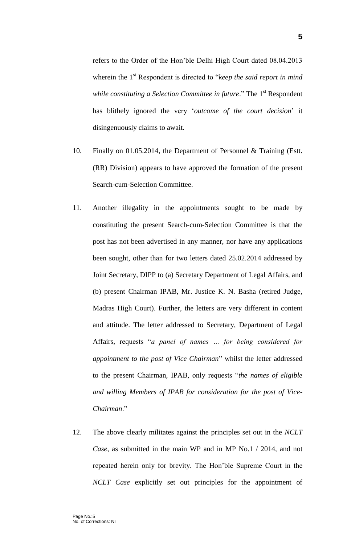refers to the Order of the Hon'ble Delhi High Court dated 08.04.2013 wherein the 1<sup>st</sup> Respondent is directed to "*keep the said report in mind while constituting a Selection Committee in future.*" The 1<sup>st</sup> Respondent has blithely ignored the very '*outcome of the court decision*' it disingenuously claims to await.

- 10. Finally on 01.05.2014, the Department of Personnel & Training (Estt. (RR) Division) appears to have approved the formation of the present Search-cum-Selection Committee.
- 11. Another illegality in the appointments sought to be made by constituting the present Search-cum-Selection Committee is that the post has not been advertised in any manner, nor have any applications been sought, other than for two letters dated 25.02.2014 addressed by Joint Secretary, DIPP to (a) Secretary Department of Legal Affairs, and (b) present Chairman IPAB, Mr. Justice K. N. Basha (retired Judge, Madras High Court). Further, the letters are very different in content and attitude. The letter addressed to Secretary, Department of Legal Affairs, requests "*a panel of names … for being considered for appointment to the post of Vice Chairman*" whilst the letter addressed to the present Chairman, IPAB, only requests "*the names of eligible and willing Members of IPAB for consideration for the post of Vice-Chairman*."
- 12. The above clearly militates against the principles set out in the *NCLT Case*, as submitted in the main WP and in MP No.1 / 2014, and not repeated herein only for brevity. The Hon'ble Supreme Court in the *NCLT Case* explicitly set out principles for the appointment of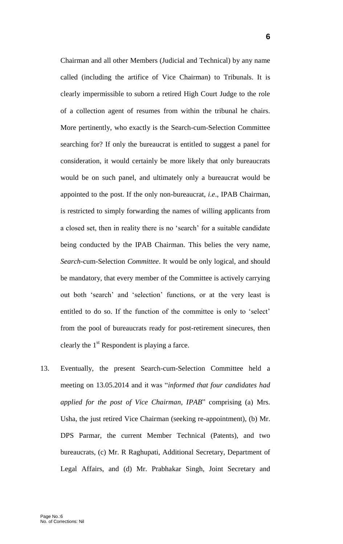Chairman and all other Members (Judicial and Technical) by any name called (including the artifice of Vice Chairman) to Tribunals. It is clearly impermissible to suborn a retired High Court Judge to the role of a collection agent of resumes from within the tribunal he chairs. More pertinently, who exactly is the Search-cum-Selection Committee searching for? If only the bureaucrat is entitled to suggest a panel for consideration, it would certainly be more likely that only bureaucrats would be on such panel, and ultimately only a bureaucrat would be appointed to the post. If the only non-bureaucrat, *i*.*e*., IPAB Chairman, is restricted to simply forwarding the names of willing applicants from a closed set, then in reality there is no 'search' for a suitable candidate being conducted by the IPAB Chairman. This belies the very name, *Search*-cum-Selection *Committee*. It would be only logical, and should be mandatory, that every member of the Committee is actively carrying out both 'search' and 'selection' functions, or at the very least is entitled to do so. If the function of the committee is only to 'select' from the pool of bureaucrats ready for post-retirement sinecures, then clearly the  $1<sup>st</sup>$  Respondent is playing a farce.

13. Eventually, the present Search-cum-Selection Committee held a meeting on 13.05.2014 and it was "*informed that four candidates had applied for the post of Vice Chairman, IPAB*" comprising (a) Mrs. Usha, the just retired Vice Chairman (seeking re-appointment), (b) Mr. DPS Parmar, the current Member Technical (Patents), and two bureaucrats, (c) Mr. R Raghupati, Additional Secretary, Department of Legal Affairs, and (d) Mr. Prabhakar Singh, Joint Secretary and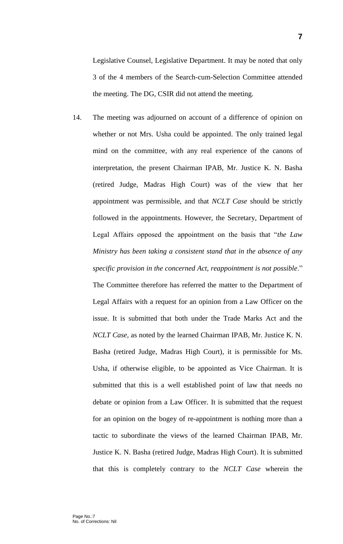Legislative Counsel, Legislative Department. It may be noted that only 3 of the 4 members of the Search-cum-Selection Committee attended the meeting. The DG, CSIR did not attend the meeting.

14. The meeting was adjourned on account of a difference of opinion on whether or not Mrs. Usha could be appointed. The only trained legal mind on the committee, with any real experience of the canons of interpretation, the present Chairman IPAB, Mr. Justice K. N. Basha (retired Judge, Madras High Court) was of the view that her appointment was permissible, and that *NCLT Case* should be strictly followed in the appointments. However, the Secretary, Department of Legal Affairs opposed the appointment on the basis that "*the Law Ministry has been taking a consistent stand that in the absence of any specific provision in the concerned Act, reappointment is not possible*." The Committee therefore has referred the matter to the Department of Legal Affairs with a request for an opinion from a Law Officer on the issue. It is submitted that both under the Trade Marks Act and the *NCLT Case,* as noted by the learned Chairman IPAB, Mr. Justice K. N. Basha (retired Judge, Madras High Court), it is permissible for Ms. Usha, if otherwise eligible, to be appointed as Vice Chairman. It is submitted that this is a well established point of law that needs no debate or opinion from a Law Officer. It is submitted that the request for an opinion on the bogey of re-appointment is nothing more than a tactic to subordinate the views of the learned Chairman IPAB, Mr. Justice K. N. Basha (retired Judge, Madras High Court). It is submitted that this is completely contrary to the *NCLT Case* wherein the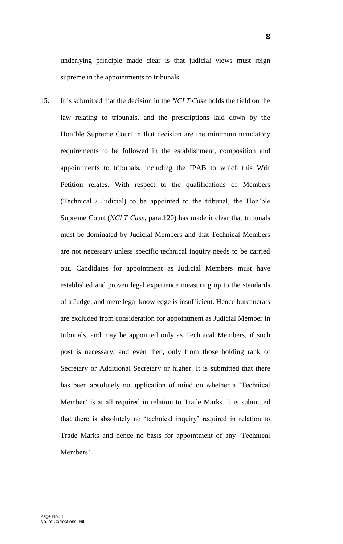underlying principle made clear is that judicial views must reign supreme in the appointments to tribunals.

15. It is submitted that the decision in the *NCLT Case* holds the field on the law relating to tribunals, and the prescriptions laid down by the Hon'ble Supreme Court in that decision are the minimum mandatory requirements to be followed in the establishment, composition and appointments to tribunals, including the IPAB to which this Writ Petition relates. With respect to the qualifications of Members (Technical / Judicial) to be appointed to the tribunal, the Hon'ble Supreme Court (*NCLT Case*, para.120) has made it clear that tribunals must be dominated by Judicial Members and that Technical Members are not necessary unless specific technical inquiry needs to be carried out. Candidates for appointment as Judicial Members must have established and proven legal experience measuring up to the standards of a Judge, and mere legal knowledge is insufficient. Hence bureaucrats are excluded from consideration for appointment as Judicial Member in tribunals, and may be appointed only as Technical Members, if such post is necessary, and even then, only from those holding rank of Secretary or Additional Secretary or higher. It is submitted that there has been absolutely no application of mind on whether a 'Technical Member' is at all required in relation to Trade Marks. It is submitted that there is absolutely no 'technical inquiry' required in relation to Trade Marks and hence no basis for appointment of any 'Technical Members'.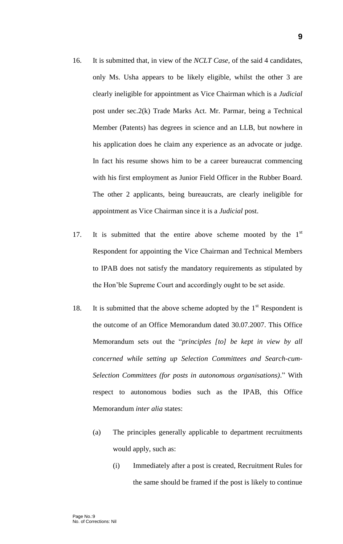- 16. It is submitted that, in view of the *NCLT Case*, of the said 4 candidates, only Ms. Usha appears to be likely eligible, whilst the other 3 are clearly ineligible for appointment as Vice Chairman which is a *Judicial* post under sec.2(k) Trade Marks Act. Mr. Parmar, being a Technical Member (Patents) has degrees in science and an LLB, but nowhere in his application does he claim any experience as an advocate or judge. In fact his resume shows him to be a career bureaucrat commencing with his first employment as Junior Field Officer in the Rubber Board. The other 2 applicants, being bureaucrats, are clearly ineligible for appointment as Vice Chairman since it is a *Judicial* post.
- 17. It is submitted that the entire above scheme mooted by the  $1<sup>st</sup>$ Respondent for appointing the Vice Chairman and Technical Members to IPAB does not satisfy the mandatory requirements as stipulated by the Hon'ble Supreme Court and accordingly ought to be set aside.
- 18. It is submitted that the above scheme adopted by the  $1<sup>st</sup>$  Respondent is the outcome of an Office Memorandum dated 30.07.2007. This Office Memorandum sets out the "*principles [to] be kept in view by all concerned while setting up Selection Committees and Search-cum-Selection Committees (for posts in autonomous organisations)*." With respect to autonomous bodies such as the IPAB, this Office Memorandum *inter alia* states:
	- (a) The principles generally applicable to department recruitments would apply, such as:
		- (i) Immediately after a post is created, Recruitment Rules for the same should be framed if the post is likely to continue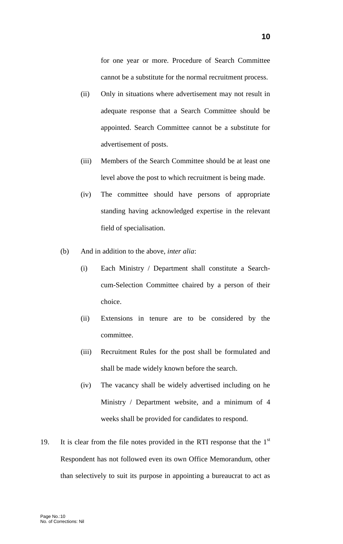for one year or more. Procedure of Search Committee cannot be a substitute for the normal recruitment process.

- (ii) Only in situations where advertisement may not result in adequate response that a Search Committee should be appointed. Search Committee cannot be a substitute for advertisement of posts.
- (iii) Members of the Search Committee should be at least one level above the post to which recruitment is being made.
- (iv) The committee should have persons of appropriate standing having acknowledged expertise in the relevant field of specialisation.
- (b) And in addition to the above, *inter alia*:
	- (i) Each Ministry / Department shall constitute a Searchcum-Selection Committee chaired by a person of their choice.
	- (ii) Extensions in tenure are to be considered by the committee.
	- (iii) Recruitment Rules for the post shall be formulated and shall be made widely known before the search.
	- (iv) The vacancy shall be widely advertised including on he Ministry / Department website, and a minimum of 4 weeks shall be provided for candidates to respond.
- 19. It is clear from the file notes provided in the RTI response that the  $1<sup>st</sup>$ Respondent has not followed even its own Office Memorandum, other than selectively to suit its purpose in appointing a bureaucrat to act as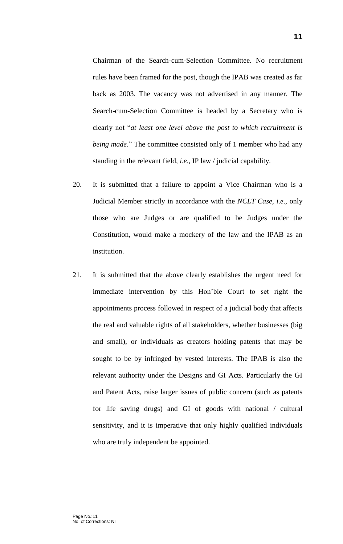Chairman of the Search-cum-Selection Committee. No recruitment rules have been framed for the post, though the IPAB was created as far back as 2003. The vacancy was not advertised in any manner. The Search-cum-Selection Committee is headed by a Secretary who is clearly not "*at least one level above the post to which recruitment is being made*." The committee consisted only of 1 member who had any standing in the relevant field, *i*.*e*., IP law / judicial capability.

- 20. It is submitted that a failure to appoint a Vice Chairman who is a Judicial Member strictly in accordance with the *NCLT Case*, *i*.*e*., only those who are Judges or are qualified to be Judges under the Constitution, would make a mockery of the law and the IPAB as an institution.
- 21. It is submitted that the above clearly establishes the urgent need for immediate intervention by this Hon'ble Court to set right the appointments process followed in respect of a judicial body that affects the real and valuable rights of all stakeholders, whether businesses (big and small), or individuals as creators holding patents that may be sought to be by infringed by vested interests. The IPAB is also the relevant authority under the Designs and GI Acts. Particularly the GI and Patent Acts, raise larger issues of public concern (such as patents for life saving drugs) and GI of goods with national / cultural sensitivity, and it is imperative that only highly qualified individuals who are truly independent be appointed.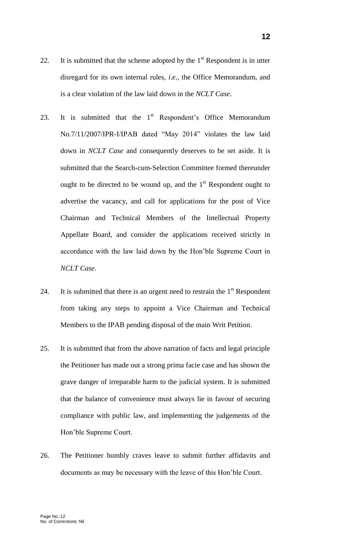- 22. It is submitted that the scheme adopted by the  $1<sup>st</sup>$  Respondent is in utter disregard for its own internal rules, *i*.*e*., the Office Memorandum, and is a clear violation of the law laid down in the *NCLT Case*.
- 23. It is submitted that the  $1<sup>st</sup>$  Respondent's Office Memorandum No.7/11/2007/IPR-I/IPAB dated "May 2014" violates the law laid down in *NCLT Case* and consequently deserves to be set aside. It is submitted that the Search-cum-Selection Committee formed thereunder ought to be directed to be wound up, and the  $1<sup>st</sup>$  Respondent ought to advertise the vacancy, and call for applications for the post of Vice Chairman and Technical Members of the Intellectual Property Appellate Board, and consider the applications received strictly in accordance with the law laid down by the Hon'ble Supreme Court in *NCLT Case*.
- 24. It is submitted that there is an urgent need to restrain the  $1<sup>st</sup>$  Respondent from taking any steps to appoint a Vice Chairman and Technical Members to the IPAB pending disposal of the main Writ Petition.
- 25. It is submitted that from the above narration of facts and legal principle the Petitioner has made out a strong prima facie case and has shown the grave danger of irreparable harm to the judicial system. It is submitted that the balance of convenience must always lie in favour of securing compliance with public law, and implementing the judgements of the Hon'ble Supreme Court.
- 26. The Petitioner humbly craves leave to submit further affidavits and documents as may be necessary with the leave of this Hon'ble Court.